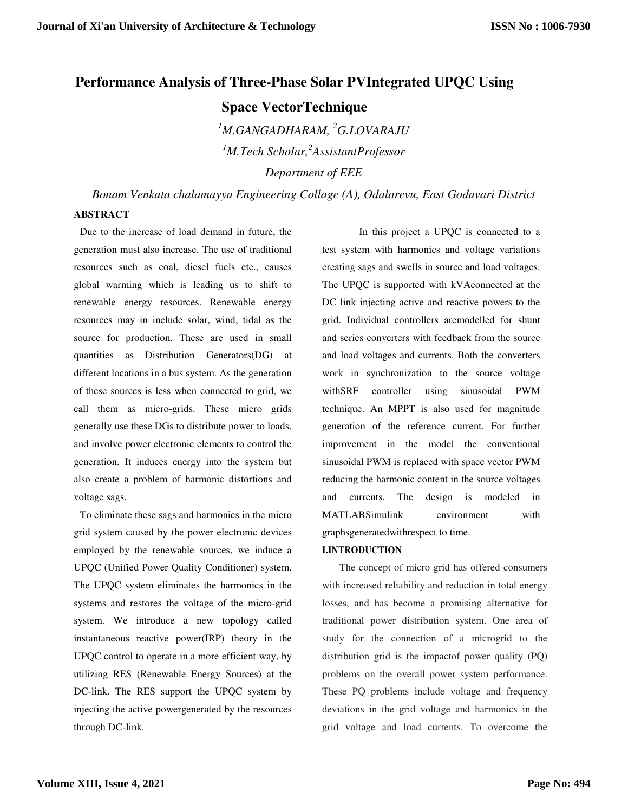# **Performance Analysis of Three-Phase Solar PVIntegrated UPQC Using Space VectorTechnique**

*<sup>1</sup>M.GANGADHARAM, <sup>2</sup>G.LOVARAJU <sup>1</sup>M.Tech Scholar,<sup>2</sup> AssistantProfessor Department of EEE* 

*Bonam Venkata chalamayya Engineering Collage (A), Odalarevu, East Godavari District* 

### **ABSTRACT**

Due to the increase of load demand in future, the generation must also increase. The use of traditional resources such as coal, diesel fuels etc., causes global warming which is leading us to shift to renewable energy resources. Renewable energy resources may in include solar, wind, tidal as the source for production. These are used in small quantities as Distribution Generators(DG) at different locations in a bus system. As the generation of these sources is less when connected to grid, we call them as micro-grids. These micro grids generally use these DGs to distribute power to loads, and involve power electronic elements to control the generation. It induces energy into the system but also create a problem of harmonic distortions and voltage sags.

To eliminate these sags and harmonics in the micro grid system caused by the power electronic devices employed by the renewable sources, we induce a UPQC (Unified Power Quality Conditioner) system. The UPQC system eliminates the harmonics in the systems and restores the voltage of the micro-grid system. We introduce a new topology called instantaneous reactive power(IRP) theory in the UPQC control to operate in a more efficient way, by utilizing RES (Renewable Energy Sources) at the DC-link. The RES support the UPQC system by injecting the active powergenerated by the resources through DC-link.

In this project a UPQC is connected to a test system with harmonics and voltage variations creating sags and swells in source and load voltages. The UPQC is supported with kVAconnected at the DC link injecting active and reactive powers to the grid. Individual controllers aremodelled for shunt and series converters with feedback from the source and load voltages and currents. Both the converters work in synchronization to the source voltage withSRF controller using sinusoidal PWM technique. An MPPT is also used for magnitude generation of the reference current. For further improvement in the model the conventional sinusoidal PWM is replaced with space vector PWM reducing the harmonic content in the source voltages and currents. The design is modeled in MATLABSimulink environment with graphsgeneratedwithrespect to time.

#### **I.INTRODUCTION**

The concept of micro grid has offered consumers with increased reliability and reduction in total energy losses, and has become a promising alternative for traditional power distribution system. One area of study for the connection of a microgrid to the distribution grid is the impactof power quality (PQ) problems on the overall power system performance. These PQ problems include voltage and frequency deviations in the grid voltage and harmonics in the grid voltage and load currents. To overcome the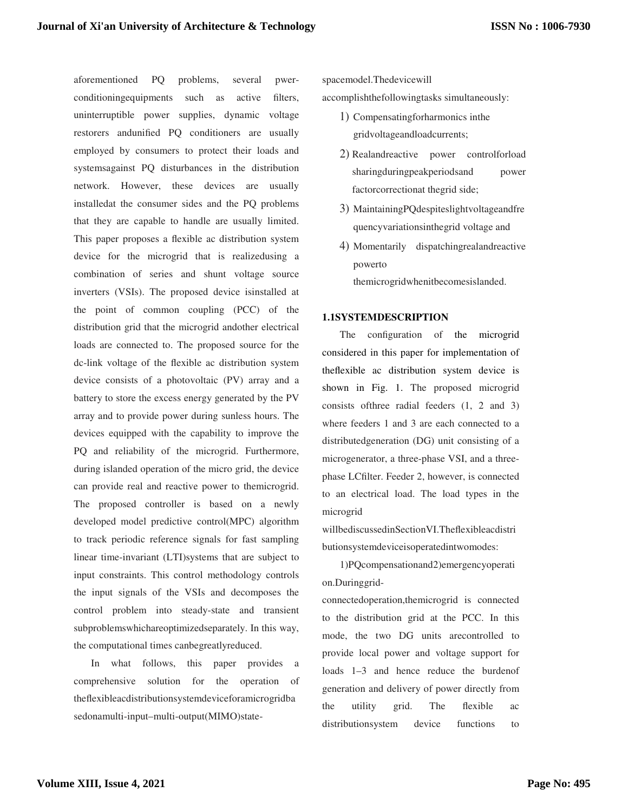aforementioned PQ problems, several pwerconditioningequipments such as active filters, uninterruptible power supplies, dynamic voltage restorers andunified PQ conditioners are usually employed by consumers to protect their loads and systemsagainst PQ disturbances in the distribution network. However, these devices are usually installedat the consumer sides and the PQ problems that they are capable to handle are usually limited. This paper proposes a flexible ac distribution system device for the microgrid that is realizedusing a combination of series and shunt voltage source inverters (VSIs). The proposed device isinstalled at the point of common coupling (PCC) of the distribution grid that the microgrid andother electrical loads are connected to. The proposed source for the dc-link voltage of the flexible ac distribution system device consists of a photovoltaic (PV) array and a battery to store the excess energy generated by the PV array and to provide power during sunless hours. The devices equipped with the capability to improve the PQ and reliability of the microgrid. Furthermore, during islanded operation of the micro grid, the device can provide real and reactive power to themicrogrid. The proposed controller is based on a newly developed model predictive control(MPC) algorithm to track periodic reference signals for fast sampling linear time-invariant (LTI)systems that are subject to input constraints. This control methodology controls the input signals of the VSIs and decomposes the control problem into steady-state and transient subproblemswhichareoptimizedseparately. In this way, the computational times canbegreatlyreduced.

In what follows, this paper provides a comprehensive solution for the operation of theflexibleacdistributionsystemdeviceforamicrogridba sedonamulti-input–multi-output(MIMO)statespacemodel.Thedevicewill

accomplishthefollowingtasks simultaneously:

- 1) Compensatingforharmonics inthe gridvoltageandloadcurrents;
- 2) Realandreactive power controlforload sharingduringpeakperiodsand power factorcorrectionat thegrid side;
- 3) MaintainingPQdespiteslightvoltageandfre quencyvariationsinthegrid voltage and
- 4) Momentarily dispatchingrealandreactive powerto

themicrogridwhenitbecomesislanded.

#### **1.1SYSTEMDESCRIPTION**

The configuration of the microgrid considered in this paper for implementation of theflexible ac distribution system device is shown in Fig. 1. The proposed microgrid consists ofthree radial feeders (1, 2 and 3) where feeders 1 and 3 are each connected to a distributedgeneration (DG) unit consisting of a microgenerator, a three-phase VSI, and a threephase LCfilter. Feeder 2, however, is connected to an electrical load. The load types in the microgrid

willbediscussedinSectionVI.Theflexibleacdistri butionsystemdeviceisoperatedintwomodes:

1)PQcompensationand2)emergencyoperati on.Duringgrid-

connectedoperation,themicrogrid is connected to the distribution grid at the PCC. In this mode, the two DG units arecontrolled to provide local power and voltage support for loads 1–3 and hence reduce the burdenof generation and delivery of power directly from the utility grid. The flexible ac distributionsystem device functions to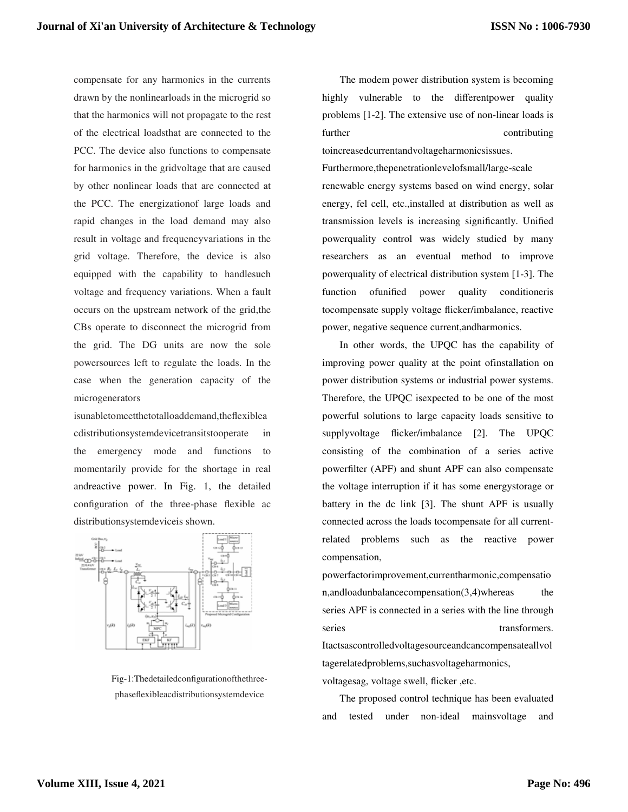compensate for any harmonics in the currents drawn by the nonlinearloads in the microgrid so that the harmonics will not propagate to the rest of the electrical loadsthat are connected to the PCC. The device also functions to compensate for harmonics in the gridvoltage that are caused by other nonlinear loads that are connected at the PCC. The energizationof large loads and rapid changes in the load demand may also result in voltage and frequencyvariations in the grid voltage. Therefore, the device is also equipped with the capability to handlesuch voltage and frequency variations. When a fault occurs on the upstream network of the grid,the CBs operate to disconnect the microgrid from the grid. The DG units are now the sole powersources left to regulate the loads. In the case when the generation capacity of the microgenerators

isunabletomeetthetotalloaddemand,theflexiblea cdistributionsystemdevicetransitstooperate in the emergency mode and functions to momentarily provide for the shortage in real andreactive power. In Fig. 1, the detailed configuration of the three-phase flexible ac distributionsystemdeviceis shown.



Fig-1:Thedetailedconfigurationofthethreephaseflexibleacdistributionsystemdevice

The modem power distribution system is becoming highly vulnerable to the differentpower quality problems [1-2]. The extensive use of non-linear loads is further contributing toincreasedcurrentandvoltageharmonicsissues.

Furthermore,thepenetrationlevelofsmall/large-scale renewable energy systems based on wind energy, solar energy, fel cell, etc.,installed at distribution as well as transmission levels is increasing significantly. Unified powerquality control was widely studied by many researchers as an eventual method to improve powerquality of electrical distribution system [1-3]. The function ofunified power quality conditioneris tocompensate supply voltage flicker/imbalance, reactive power, negative sequence current,andharmonics.

In other words, the UPQC has the capability of improving power quality at the point ofinstallation on power distribution systems or industrial power systems. Therefore, the UPQC isexpected to be one of the most powerful solutions to large capacity loads sensitive to supplyvoltage flicker/imbalance [2]. The UPQC consisting of the combination of a series active powerfilter (APF) and shunt APF can also compensate the voltage interruption if it has some energystorage or battery in the dc link [3]. The shunt APF is usually connected across the loads tocompensate for all currentrelated problems such as the reactive power compensation,

powerfactorimprovement,currentharmonic,compensatio n,andloadunbalancecompensation(3,4)whereas the series APF is connected in a series with the line through series transformers. Itactsascontrolledvoltagesourceandcancompensateallvol tagerelatedproblems,suchasvoltageharmonics, voltagesag, voltage swell, flicker ,etc.

The proposed control technique has been evaluated and tested under non-ideal mainsvoltage and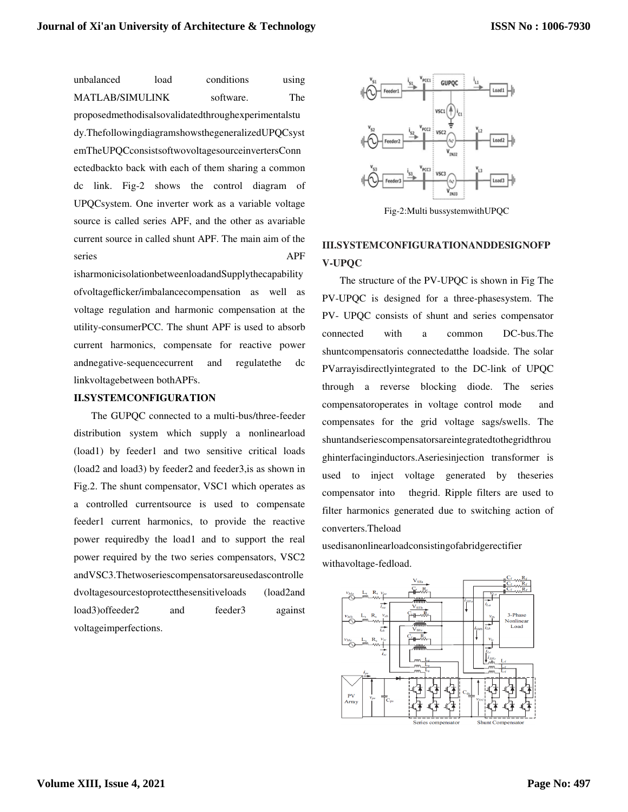unbalanced load conditions using MATLAB/SIMULINK software. The proposedmethodisalsovalidatedthroughexperimentalstu dy.ThefollowingdiagramshowsthegeneralizedUPQCsyst emTheUPQCconsistsoftwovoltagesourceinvertersConn ectedbackto back with each of them sharing a common dc link. Fig-2 shows the control diagram of UPQCsystem. One inverter work as a variable voltage source is called series APF, and the other as avariable current source in called shunt APF. The main aim of the series APF

isharmonicisolationbetweenloadandSupplythecapability ofvoltageflicker/imbalancecompensation as well as voltage regulation and harmonic compensation at the utility-consumerPCC. The shunt APF is used to absorb current harmonics, compensate for reactive power andnegative-sequencecurrent and regulatethe dc linkvoltagebetween bothAPFs.

#### **II.SYSTEMCONFIGURATION**

The GUPQC connected to a multi-bus/three-feeder distribution system which supply a nonlinearload (load1) by feeder1 and two sensitive critical loads (load2 and load3) by feeder2 and feeder3,is as shown in Fig.2. The shunt compensator, VSC1 which operates as a controlled currentsource is used to compensate feeder1 current harmonics, to provide the reactive power requiredby the load1 and to support the real power required by the two series compensators, VSC2 andVSC3.Thetwoseriescompensatorsareusedascontrolle dvoltagesourcestoprotectthesensitiveloads (load2and load3)offeeder2 and feeder3 against voltageimperfections.



Fig-2:Multi bussystemwithUPQC

# **III.SYSTEMCONFIGURATIONANDDESIGNOFP V-UPQC**

The structure of the PV-UPQC is shown in Fig The PV-UPQC is designed for a three-phasesystem. The PV- UPQC consists of shunt and series compensator connected with a common DC-bus.The shuntcompensatoris connectedatthe loadside. The solar PVarrayisdirectlyintegrated to the DC-link of UPQC through a reverse blocking diode. The series compensatoroperates in voltage control mode and compensates for the grid voltage sags/swells. The shuntandseriescompensatorsareintegratedtothegridthrou ghinterfacinginductors.Aseriesinjection transformer is used to inject voltage generated by theseries compensator into thegrid. Ripple filters are used to filter harmonics generated due to switching action of converters.Theload

usedisanonlinearloadconsistingofabridgerectifier withavoltage-fedload.

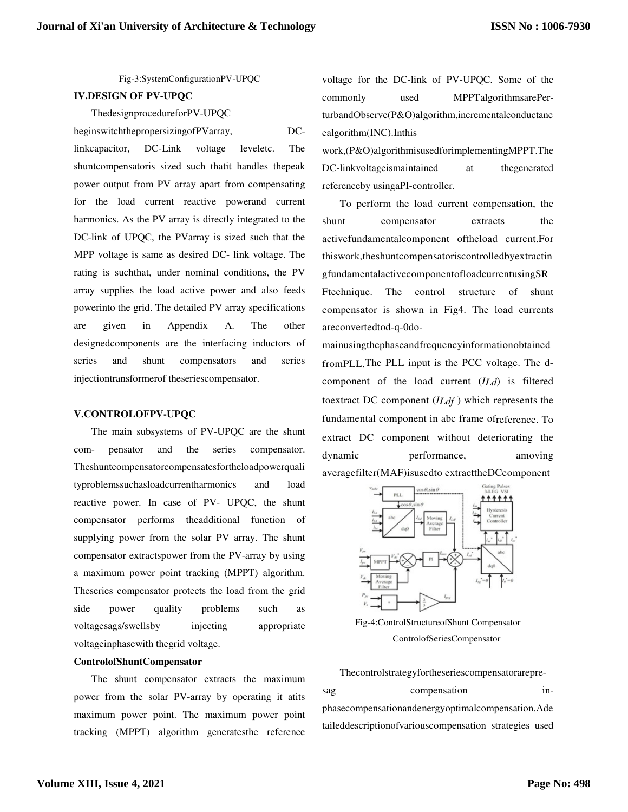Fig-3:SystemConfigurationPV-UPQC

### **IV.DESIGN OF PV-UPQC**

ThedesignprocedureforPV-UPQC

beginswitchthepropersizingofPVarray, DClinkcapacitor, DC-Link voltage leveletc. The shuntcompensatoris sized such thatit handles thepeak power output from PV array apart from compensating for the load current reactive powerand current harmonics. As the PV array is directly integrated to the DC-link of UPQC, the PVarray is sized such that the MPP voltage is same as desired DC- link voltage. The rating is suchthat, under nominal conditions, the PV array supplies the load active power and also feeds powerinto the grid. The detailed PV array specifications are given in Appendix A. The other designedcomponents are the interfacing inductors of series and shunt compensators and series injectiontransformerof theseriescompensator.

#### **V.CONTROLOFPV-UPQC**

The main subsystems of PV-UPQC are the shunt com- pensator and the series compensator. Theshuntcompensatorcompensatesfortheloadpowerquali typroblemssuchasloadcurrentharmonics and load reactive power. In case of PV- UPQC, the shunt compensator performs theadditional function of supplying power from the solar PV array. The shunt compensator extractspower from the PV-array by using a maximum power point tracking (MPPT) algorithm. Theseries compensator protects the load from the grid side power quality problems such as voltagesags/swellsby injecting appropriate voltageinphasewith thegrid voltage.

#### **ControlofShuntCompensator**

The shunt compensator extracts the maximum power from the solar PV-array by operating it atits maximum power point. The maximum power point tracking (MPPT) algorithm generatesthe reference

voltage for the DC-link of PV-UPQC. Some of the commonly used MPPTalgorithmsarePerturbandObserve(P&O)algorithm,incrementalconductanc ealgorithm(INC).Inthis

work,(P&O)algorithmisusedforimplementingMPPT.The DC-linkvoltageismaintained at thegenerated referenceby usingaPI-controller.

To perform the load current compensation, the shunt compensator extracts the activefundamentalcomponent oftheload current.For thiswork,theshuntcompensatoriscontrolledbyextractin gfundamentalactivecomponentofloadcurrentusingSR Ftechnique. The control structure of shunt compensator is shown in Fig4. The load currents areconvertedtod-q-0do-

mainusingthephaseandfrequencyinformationobtained fromPLL.The PLL input is the PCC voltage. The dcomponent of the load current (*ILd*) is filtered toextract DC component (*ILdf* ) which represents the fundamental component in abc frame ofreference. To extract DC component without deteriorating the dynamic performance, amoving averagefilter(MAF)isusedto extracttheDCcomponent



Fig-4:ControlStructureofShunt Compensator ControlofSeriesCompensator

Thecontrolstrategyfortheseriescompensatorarepre-

sag compensation inphasecompensationandenergyoptimalcompensation.Ade taileddescriptionofvariouscompensation strategies used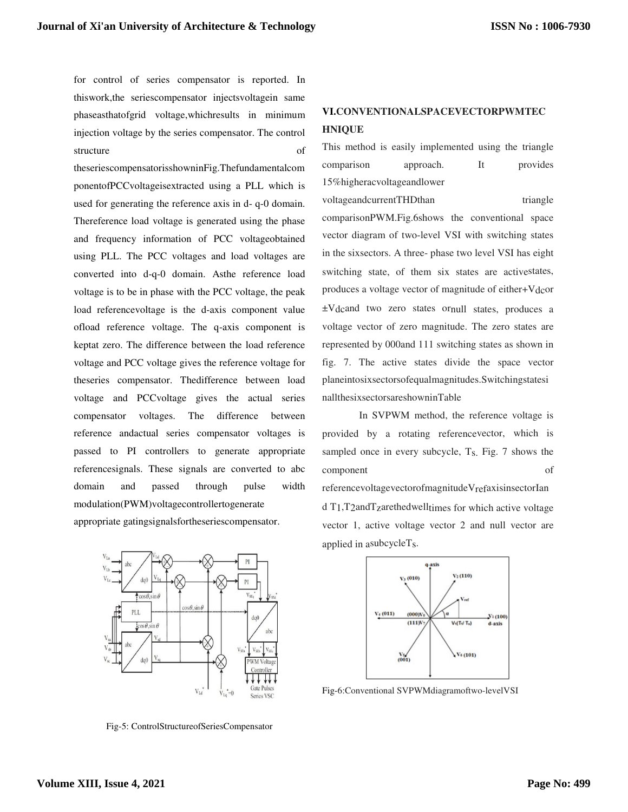for control of series compensator is reported. In thiswork,the seriescompensator injectsvoltagein same phaseasthatofgrid voltage,whichresults in minimum injection voltage by the series compensator. The control structure of

theseriescompensatorisshowninFig.Thefundamentalcom ponentofPCCvoltageisextracted using a PLL which is used for generating the reference axis in d- q-0 domain. Thereference load voltage is generated using the phase and frequency information of PCC voltageobtained using PLL. The PCC voltages and load voltages are converted into d-q-0 domain. Asthe reference load voltage is to be in phase with the PCC voltage, the peak load referencevoltage is the d-axis component value ofload reference voltage. The q-axis component is keptat zero. The difference between the load reference voltage and PCC voltage gives the reference voltage for theseries compensator. Thedifference between load voltage and PCCvoltage gives the actual series compensator voltages. The difference between reference andactual series compensator voltages is passed to PI controllers to generate appropriate referencesignals. These signals are converted to abc domain and passed through pulse width modulation(PWM)voltagecontrollertogenerate appropriate gatingsignalsfortheseriescompensator.

# **VI.CONVENTIONALSPACEVECTORPWMTEC HNIQUE**

This method is easily implemented using the triangle comparison approach. It provides 15%higheracvoltageandlower voltageandcurrentTHDthan triangle

comparisonPWM.Fig.6shows the conventional space vector diagram of two-level VSI with switching states in the sixsectors. A three- phase two level VSI has eight switching state, of them six states are activestates, produces a voltage vector of magnitude of either+Vdcor ±Vdcand two zero states ornull states, produces a voltage vector of zero magnitude. The zero states are represented by 000and 111 switching states as shown in fig. 7. The active states divide the space vector planeintosixsectorsofequalmagnitudes.Switchingstatesi nallthesixsectorsareshowninTable

 In SVPWM method, the reference voltage is provided by a rotating referencevector, which is sampled once in every subcycle, Ts. Fig. 7 shows the component of referencevoltagevectorofmagnitudeVrefaxisinsectorIan d T1,T2andTzarethedwelltimes for which active voltage vector 1, active voltage vector 2 and null vector are applied in asubcycleTs.



Fig-6:Conventional SVPWMdiagramoftwo-levelVSI



Fig-5: ControlStructureofSeriesCompensator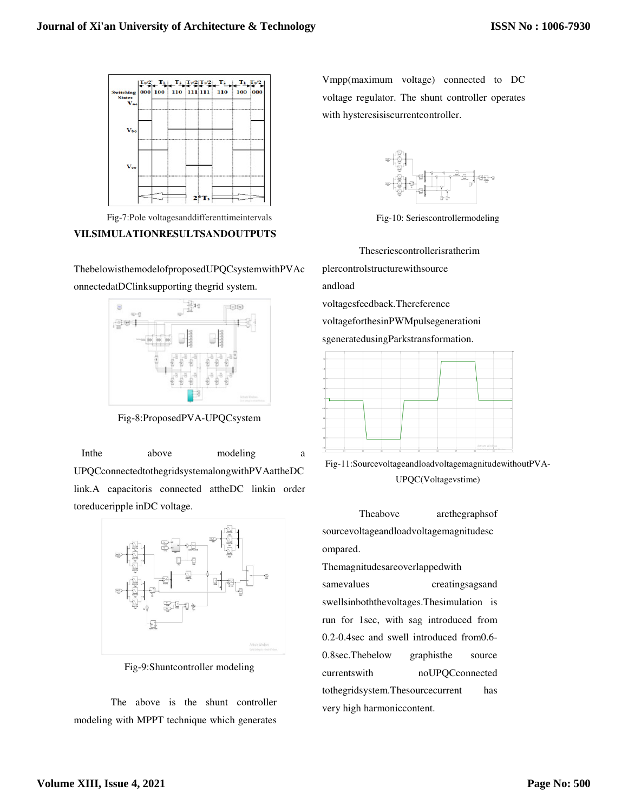

Fig-7:Pole voltagesanddifferenttimeintervals

# **VII.SIMULATIONRESULTSANDOUTPUTS**

ThebelowisthemodelofproposedUPQCsystemwithPVAc onnectedatDClinksupporting thegrid system.



Fig-8:ProposedPVA-UPQCsystem

In the above modeling a UPQCconnectedtothegridsystemalongwithPVAattheDC link.A capacitoris connected attheDC linkin order toreduceripple inDC voltage.



Fig-9:Shuntcontroller modeling

The above is the shunt controller modeling with MPPT technique which generates Vmpp(maximum voltage) connected to DC voltage regulator. The shunt controller operates with hysteresisiscurrentcontroller.



Fig-10: Seriescontrollermodeling

Theseriescontrollerisratherim

plercontrolstructurewithsource

andload

voltagesfeedback.Thereference

voltageforthesinPWMpulsegenerationi

sgeneratedusingParkstransformation.



Fig-11:SourcevoltageandloadvoltagemagnitudewithoutPVA-UPQC(Voltagevstime)

Theabove arethegraphsof sourcevoltageandloadvoltagemagnitudesc ompared.

Themagnitudesareoverlappedwith

samevalues creatingsagsand swellsinboththevoltages.Thesimulation is run for 1sec, with sag introduced from 0.2-0.4sec and swell introduced from0.6- 0.8sec.Thebelow graphisthe source currentswith noUPQCconnected tothegridsystem.Thesourcecurrent has very high harmoniccontent.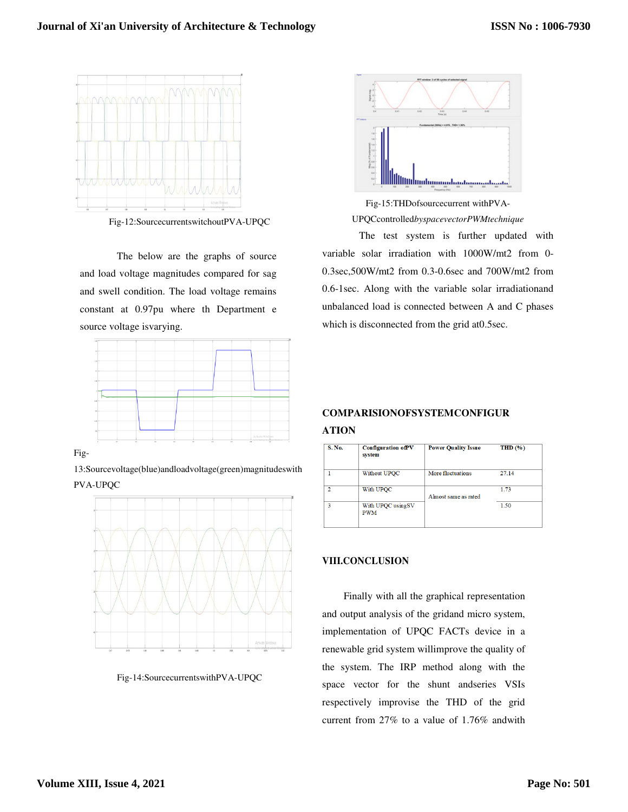

Fig-12:SourcecurrentswitchoutPVA-UPQC

The below are the graphs of source and load voltage magnitudes compared for sag and swell condition. The load voltage remains constant at 0.97pu where th Department e source voltage isvarying.



Fig-

13:Sourcevoltage(blue)andloadvoltage(green)magnitudeswith PVA-UPQC



Fig-14:SourcecurrentswithPVA-UPQC



Fig-15:THDofsourcecurrent withPVA-UPQCcontrolled*byspacevectorPWMtechnique* 

The test system is further updated with variable solar irradiation with 1000W/mt2 from 0- 0.3sec,500W/mt2 from 0.3-0.6sec and 700W/mt2 from 0.6-1sec. Along with the variable solar irradiationand unbalanced load is connected between A and C phases which is disconnected from the grid at0.5sec.

# **COMPARISIONOFSYSTEMCONFIGUR ATION**

| <b>S. No.</b> | <b>Configuration ofPV</b><br>system | <b>Power Quality Issue</b> | THD $(\% )$ |
|---------------|-------------------------------------|----------------------------|-------------|
|               | Without UPQC                        | More fluctuations          | 27.14       |
|               | With UPOC                           | Almost same as rated       | 1.73        |
| 3             | With UPQC usingSV<br><b>PWM</b>     |                            | 1.50        |

## **VIII.CONCLUSION**

Finally with all the graphical representation and output analysis of the gridand micro system, implementation of UPQC FACTs device in a renewable grid system willimprove the quality of the system. The IRP method along with the space vector for the shunt andseries VSIs respectively improvise the THD of the grid current from 27% to a value of 1.76% andwith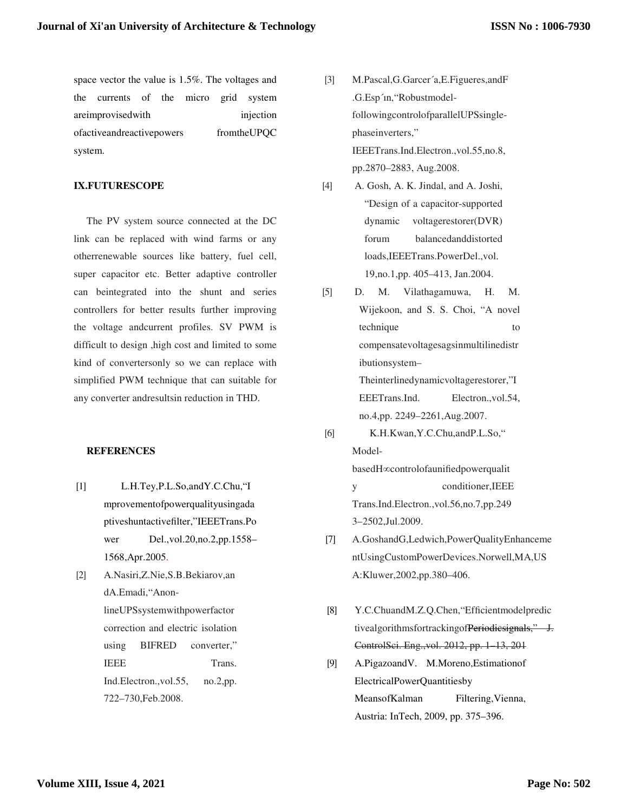space vector the value is 1.5%. The voltages and the currents of the micro grid system are improvised with injection ofactiveandreactivepowers fromtheUPQC system.

## **IX.FUTURESCOPE**

The PV system source connected at the DC link can be replaced with wind farms or any otherrenewable sources like battery, fuel cell, super capacitor etc. Better adaptive controller can beintegrated into the shunt and series controllers for better results further improving the voltage andcurrent profiles. SV PWM is difficult to design ,high cost and limited to some kind of convertersonly so we can replace with simplified PWM technique that can suitable for any converter andresultsin reduction in THD.

#### **REFERENCES**

- [1] L.H.Tey,P.L.So,andY.C.Chu,"I mprovementofpowerqualityusingada ptiveshuntactivefilter,"IEEETrans.Po wer Del.,vol.20,no.2,pp.1558– 1568,Apr.2005.
- [2] A.Nasiri,Z.Nie,S.B.Bekiarov,an dA.Emadi,"AnonlineUPSsystemwithpowerfactor correction and electric isolation using BIFRED converter," IEEE Trans. Ind.Electron.,vol.55, no.2,pp. 722–730,Feb.2008.
- [3] M.Pascal,G.Garcer´a,E.Figueres,andF .G.Esp´ın,"RobustmodelfollowingcontrolofparallelUPSsinglephaseinverters," IEEETrans.Ind.Electron.,vol.55,no.8, pp.2870–2883, Aug.2008.
- [4] A. Gosh, A. K. Jindal, and A. Joshi, "Design of a capacitor-supported dynamic voltagerestorer(DVR) forum balancedanddistorted loads,IEEETrans.PowerDel.,vol. 19,no.1,pp. 405–413, Jan.2004.
- [5] D. M. Vilathagamuwa, H. M. Wijekoon, and S. S. Choi, "A novel technique to compensatevoltagesagsinmultilinedistr ibutionsystem– Theinterlinedynamicvoltagerestorer,"I EEETrans.Ind. Electron.,vol.54, no.4,pp. 2249–2261,Aug.2007. [6] K.H.Kwan,Y.C.Chu,andP.L.So,"
	- ModelbasedH∞controlofaunifiedpowerqualit y conditioner,IEEE Trans.Ind.Electron.,vol.56,no.7,pp.249
- 3–2502,Jul.2009. [7] A.GoshandG,Ledwich,PowerQualityEnhanceme ntUsingCustomPowerDevices.Norwell,MA,US

A:Kluwer,2002,pp.380–406.

- [8] Y.C.ChuandM.Z.Q.Chen,"Efficientmodelpredic tivealgorithmsfortrackingofPeriodicsignals," J. ControlSci. Eng.,vol. 2012, pp. 1–13, 201
- [9] A.PigazoandV. M.Moreno,Estimationof ElectricalPowerQuantitiesby MeansofKalman Filtering,Vienna, Austria: InTech, 2009, pp. 375–396.